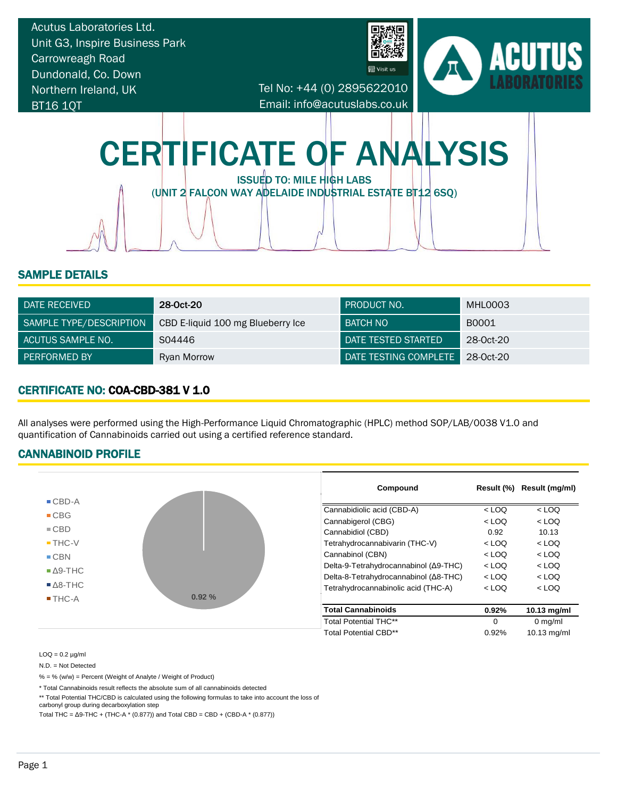

#### SAMPLE DETAILS

| DATE RECEIVED           | 28-0ct-20                         | I PRODUCT NO.              | MHL0003   |
|-------------------------|-----------------------------------|----------------------------|-----------|
| SAMPLE TYPE/DESCRIPTION | CBD E-liquid 100 mg Blueberry Ice | BATCH NO                   | B0001     |
| LACUTUS SAMPLE NO.      | S04446                            | <b>DATE TESTED STARTED</b> | 28-0ct-20 |
| <b>PERFORMED BY</b>     | Ryan Morrow                       | DATE TESTING COMPLETE      | 28-0ct-20 |

# CERTIFICATE NO: COA-CBD-381 V 1.0

All analyses were performed using the High-Performance Liquid Chromatographic (HPLC) method SOP/LAB/0038 V1.0 and quantification of Cannabinoids carried out using a certified reference standard.

#### CANNABINOID PROFILE



 $LOQ = 0.2$   $\mu$ g/ml

N.D. = Not Detected

% = % (w/w) = Percent (Weight of Analyte / Weight of Product)

\* Total Cannabinoids result reflects the absolute sum of all cannabinoids detected

\*\* Total Potential THC/CBD is calculated using the following formulas to take into account the loss of

carbonyl group during decarboxylation step

Total THC =  $\Delta$ 9-THC + (THC-A  $*$  (0.877)) and Total CBD = CBD + (CBD-A $*$  (0.877))